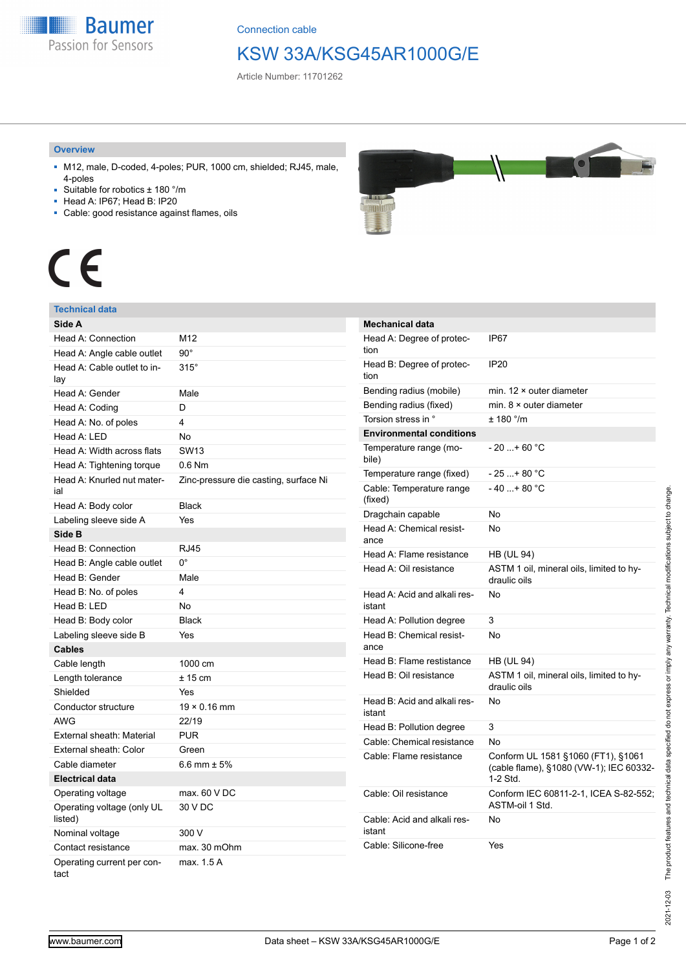**Baumer** Passion for Sensors

Connection cable

### KSW 33A/KSG45AR1000G/E

Article Number: 11701262

#### **Overview**

- M12, male, D-coded, 4-poles; PUR, 1000 cm, shielded; RJ45, male, 4-poles
- Suitable for robotics ± 180 °/m
- Head A: IP67; Head B: IP20
- Cable: good resistance against flames, oils



# $\epsilon$

### **Technical data**

| Side A                                |                                       |
|---------------------------------------|---------------------------------------|
| Head A: Connection                    | M12                                   |
| Head A: Angle cable outlet            | $90^{\circ}$                          |
| Head A: Cable outlet to in-<br>lay    | $315^\circ$                           |
| Head A: Gender                        | Male                                  |
| Head A: Coding                        | D                                     |
| Head A: No. of poles                  | 4                                     |
| Head A: LED                           | <b>No</b>                             |
| Head A: Width across flats            | <b>SW13</b>                           |
| Head A: Tightening torque             | $0.6$ Nm                              |
| Head A: Knurled nut mater-<br>ial     | Zinc-pressure die casting, surface Ni |
| Head A: Body color                    | <b>Black</b>                          |
| Labeling sleeve side A                | Yes                                   |
| Side B                                |                                       |
| Head B: Connection                    | <b>RJ45</b>                           |
| Head B: Angle cable outlet            | $0^{\circ}$                           |
| Head B: Gender                        | Male                                  |
| Head B: No. of poles                  | 4                                     |
| Head B: LED                           | <b>No</b>                             |
| Head B: Body color                    | <b>Black</b>                          |
| Labeling sleeve side B                | Yes                                   |
| <b>Cables</b>                         |                                       |
| Cable length                          | 1000 cm                               |
| Length tolerance                      | $± 15$ cm                             |
| Shielded                              | Yes                                   |
| Conductor structure                   | $19 \times 0.16$ mm                   |
| <b>AWG</b>                            | 22/19                                 |
| External sheath: Material             | <b>PUR</b>                            |
| External sheath: Color                | Green                                 |
| Cable diameter                        | 6.6 mm $\pm$ 5%                       |
| <b>Electrical data</b>                |                                       |
| Operating voltage                     | max. 60 V DC                          |
| Operating voltage (only UL<br>listed) | 30 V DC                               |
| Nominal voltage                       | 300 V                                 |
| Contact resistance                    | max. 30 mOhm                          |
| Operating current per con-<br>tact    | max. 1.5 A                            |

| <b>Mechanical data</b>                 |                                                                                           |
|----------------------------------------|-------------------------------------------------------------------------------------------|
| Head A: Degree of protec-<br>tion      | IP67                                                                                      |
| Head B: Degree of protec-<br>tion      | <b>IP20</b>                                                                               |
| Bending radius (mobile)                | min. $12 \times$ outer diameter                                                           |
| Bending radius (fixed)                 | min. $8 \times$ outer diameter                                                            |
| Torsion stress in °                    | $+ 180$ °/m                                                                               |
| <b>Environmental conditions</b>        |                                                                                           |
| Temperature range (mo-<br>bile)        | $-20$ + 60 °C                                                                             |
| Temperature range (fixed)              | $-25+80 °C$                                                                               |
| Cable: Temperature range<br>(fixed)    | $-40+80 °C$                                                                               |
| Dragchain capable                      | No                                                                                        |
| Head A: Chemical resist-<br>ance       | No                                                                                        |
| Head A: Flame resistance               | <b>HB (UL 94)</b>                                                                         |
| Head A: Oil resistance                 | ASTM 1 oil, mineral oils, limited to hy-<br>draulic oils                                  |
| Head A: Acid and alkali res-<br>istant | Nο                                                                                        |
| Head A: Pollution degree               | 3                                                                                         |
| Head B: Chemical resist-<br>ance       | No                                                                                        |
| Head B: Flame restistance              | <b>HB (UL 94)</b>                                                                         |
| Head B: Oil resistance                 | ASTM 1 oil, mineral oils, limited to hy-<br>draulic oils                                  |
| Head B: Acid and alkali res-<br>istant | No                                                                                        |
| Head B: Pollution degree               | 3                                                                                         |
| Cable: Chemical resistance             | No                                                                                        |
| Cable: Flame resistance                | Conform UL 1581 §1060 (FT1), §1061<br>(cable flame), §1080 (VW-1); IEC 60332-<br>1-2 Std. |
| Cable: Oil resistance                  | Conform IEC 60811-2-1, ICEA S-82-552;<br>ASTM-oil 1 Std.                                  |
| Cable: Acid and alkali res-<br>istant  | <b>No</b>                                                                                 |
| Cable: Silicone-free                   | Yes                                                                                       |